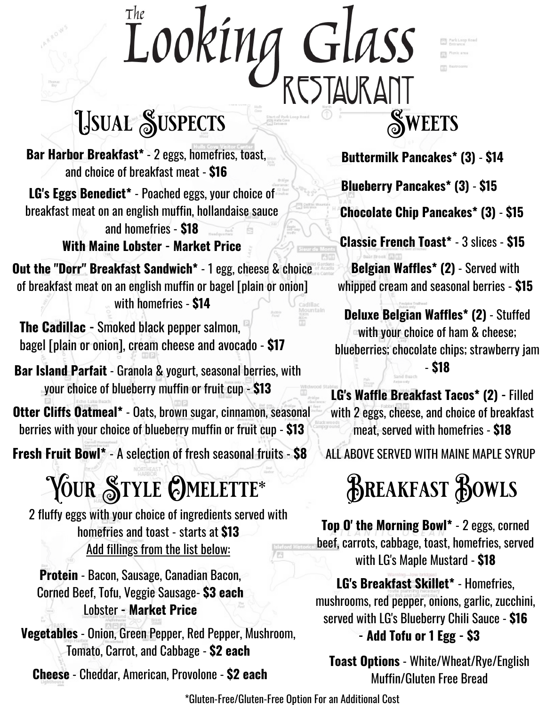# Looking GLASS<br>RESTAURANT

### USUAL SUSPECTS SWEETS

**Bar Harbor Breakfast\*** - 2 eggs, homefries, toast, and choice of breakfast meat - **\$16**

**LG's Eggs Benedict\*** - Poached eggs, your choice of breakfast meat on an english muffin, hollandaise sauce and homefries - **\$18** í. **With Maine Lobster - Market Price**

**Out the "Dorr" Breakfast Sandwich\*** - 1 egg, cheese & choice of breakfast meat on an english muffin or bagel [plain or onion] with homefries - **\$14**

**The Cadillac -** Smoked black pepper salmon, bagel [plain or onion], cream cheese and avocado - **\$17**

**Bar Island Parfait** - Granola & yogurt, seasonal berries, with your choice of blueberry muffin or fruit cup - **\$13**

**Otter Cliffs Oatmeal\*** - Oats, brown sugar, cinnamon, seasonal berries with your choice of blueberry muffin or fruit cup - **\$13**

**Fresh Fruit Bowl\*** - A selection of fresh seasonal fruits - **\$8**

## YOUR STYLE OMELETTE\* BREAKFAST BOWLS

2 fluffy eggs with your choice of ingredients served with homefries and toast - starts at **\$13** Add fillings from the list below:

**Protein** - Bacon, Sausage, Canadian Bacon, Corned Beef, Tofu, Veggie Sausage- **\$3 each** Lobster **- Market Price**

**Vegetables** - Onion, Green Pepper, Red Pepper, Mushroom, Tomato, Carrot, and Cabbage - **\$2 each**

**Cheese** - Cheddar, American, Provolone - **\$2 each**



**Buttermilk Pancakes\* (3)** - **\$14**

**Blueberry Pancakes\* (3)** - **\$15**

**Chocolate Chip Pancakes\* (3)** - **\$15**

**Classic French Toast\*** - 3 slices - **\$15**

**Belgian Waffles\* (2)** - Served with whipped cream and seasonal berries - **\$15**

**Deluxe Belgian Waffles\* (2)** - Stuffed with your choice of ham & cheese; blueberries; chocolate chips; strawberry jam - **\$18**

**LG's Waffle Breakfast Tacos\* (2) -** Filled with 2 eggs, cheese, and choice of breakfast meat, served with homefries - **\$18**

ALL ABOVE SERVED WITH MAINE MAPLE SYRUP

**Top O' the Morning Bowl\*** - 2 eggs, corned beef, carrots, cabbage, toast, homefries, served with LG's Maple Mustard - **\$18**

**LG's Breakfast Skillet\*** - Homefries, mushrooms, red pepper, onions, garlic, zucchini, served with LG's Blueberry Chili Sauce - **\$16 - Add Tofu or 1 Egg - \$3**

**Toast Options** - White/Wheat/Rye/English Muffin/Gluten Free Bread

\*Gluten-Free/Gluten-Free Option For an Additional Cost